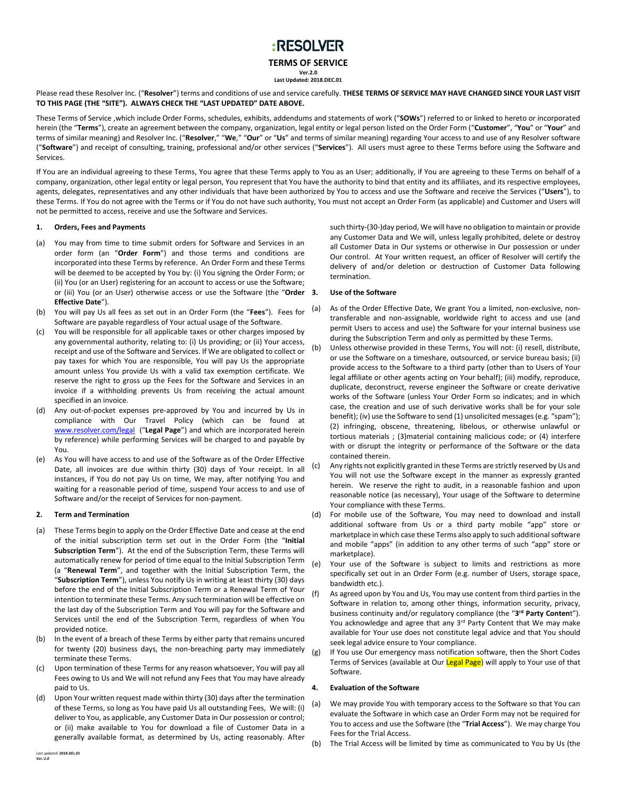# :RESOLVER

**TERMS OF SERVICE**

**Ver.2.0 Last Updated: 2018.DEC.01**

Please read these Resolver Inc. ("**Resolver**") terms and conditions of use and service carefully. **THESE TERMS OF SERVICE MAY HAVE CHANGED SINCE YOUR LAST VISIT TO THIS PAGE (THE "SITE"). ALWAYS CHECK THE "LAST UPDATED" DATE ABOVE.**

These Terms of Service ,which include Order Forms, schedules, exhibits, addendums and statements of work ("**SOWs**") referred to or linked to hereto or incorporated herein (the "**Terms**"), create an agreement between the company, organization, legal entity or legal person listed on the Order Form ("**Customer**", "**You**" or "**Your**" and terms of similar meaning) and Resolver Inc. ("**Resolver**," "**We**," "**Our**" or "**Us**" and terms of similar meaning) regarding Your access to and use of any Resolver software ("**Software**") and receipt of consulting, training, professional and/or other services ("**Services**"). All users must agree to these Terms before using the Software and Services.

If You are an individual agreeing to these Terms, You agree that these Terms apply to You as an User; additionally, if You are agreeing to these Terms on behalf of a company, organization, other legal entity or legal person, You represent that You have the authority to bind that entity and its affiliates, and its respective employees, agents, delegates, representatives and any other individuals that have been authorized by You to access and use the Software and receive the Services ("**Users**"), to these Terms. If You do not agree with the Terms or if You do not have such authority, You must not accept an Order Form (as applicable) and Customer and Users will not be permitted to access, receive and use the Software and Services.

#### **1. Orders, Fees and Payments**

- (a) You may from time to time submit orders for Software and Services in an order form (an "**Order Form**") and those terms and conditions are incorporated into these Terms by reference. An Order Form and these Terms will be deemed to be accepted by You by: (i) You signing the Order Form; or (ii) You (or an User) registering for an account to access or use the Software; or (iii) You (or an User) otherwise access or use the Software (the "**Order Effective Date**").
- (b) You will pay Us all fees as set out in an Order Form (the "**Fees**"). Fees for Software are payable regardless of Your actual usage of the Software.
- (c) You will be responsible for all applicable taxes or other charges imposed by any governmental authority, relating to: (i) Us providing; or (ii) Your access, receipt and use of the Software and Services. If We are obligated to collect or pay taxes for which You are responsible, You will pay Us the appropriate amount unless You provide Us with a valid tax exemption certificate. We reserve the right to gross up the Fees for the Software and Services in an invoice if a withholding prevents Us from receiving the actual amount specified in an invoice.
- (d) Any out-of-pocket expenses pre-approved by You and incurred by Us in compliance with Our Travel Policy (which can be found at [www.resolver.com/legal](http://www.resolver.com/legal) ("**Legal Page**") and which are incorporated herein by reference) while performing Services will be charged to and payable by You.
- (e) As You will have access to and use of the Software as of the Order Effective Date, all invoices are due within thirty (30) days of Your receipt. In all instances, if You do not pay Us on time, We may, after notifying You and waiting for a reasonable period of time, suspend Your access to and use of Software and/or the receipt of Services for non-payment.

#### **2. Term and Termination**

- (a) These Terms begin to apply on the Order Effective Date and cease at the end of the initial subscription term set out in the Order Form (the "**Initial Subscription Term**"). At the end of the Subscription Term, these Terms will automatically renew for period of time equal to the Initial Subscription Term (a "**Renewal Term**", and together with the Initial Subscription Term, the "**Subscription Term**"), unless You notify Us in writing at least thirty (30) days before the end of the Initial Subscription Term or a Renewal Term of Your intention to terminate these Terms. Any such termination will be effective on the last day of the Subscription Term and You will pay for the Software and Services until the end of the Subscription Term, regardless of when You provided notice.
- (b) In the event of a breach of these Terms by either party that remains uncured for twenty (20) business days, the non-breaching party may immediately terminate these Terms.
- (c) Upon termination of these Terms for any reason whatsoever, You will pay all Fees owing to Us and We will not refund any Fees that You may have already paid to Us.
- (d) Upon Your written request made within thirty (30) days after the termination of these Terms, so long as You have paid Us all outstanding Fees, We will: (i) deliver to You, as applicable, any Customer Data in Our possession or control; or (ii) make available to You for download a file of Customer Data in a generally available format, as determined by Us, acting reasonably. After

such thirty-(30-)day period, We will have no obligation to maintain or provide any Customer Data and We will, unless legally prohibited, delete or destroy all Customer Data in Our systems or otherwise in Our possession or under Our control. At Your written request, an officer of Resolver will certify the delivery of and/or deletion or destruction of Customer Data following termination.

# **3. Use of the Software**

- (a) As of the Order Effective Date, We grant You a limited, non-exclusive, nontransferable and non-assignable, worldwide right to access and use (and permit Users to access and use) the Software for your internal business use during the Subscription Term and only as permitted by these Terms.
- Unless otherwise provided in these Terms, You will not: (i) resell, distribute, or use the Software on a timeshare, outsourced, or service bureau basis; (ii) provide access to the Software to a third party (other than to Users of Your legal affiliate or other agents acting on Your behalf); (iii) modify, reproduce, duplicate, deconstruct, reverse engineer the Software or create derivative works of the Software (unless Your Order Form so indicates; and in which case, the creation and use of such derivative works shall be for your sole benefit); (iv) use the Software to send (1) unsolicited messages (e.g. "spam"); (2) infringing, obscene, threatening, libelous, or otherwise unlawful or tortious materials ; (3)material containing malicious code; or (4) interfere with or disrupt the integrity or performance of the Software or the data contained therein.
- (c) Any rights not explicitly granted in these Terms are strictly reserved by Us and You will not use the Software except in the manner as expressly granted herein. We reserve the right to audit, in a reasonable fashion and upon reasonable notice (as necessary), Your usage of the Software to determine Your compliance with these Terms.
- (d) For mobile use of the Software, You may need to download and install additional software from Us or a third party mobile "app" store or marketplace in which case these Terms also apply to such additional software and mobile "apps" (in addition to any other terms of such "app" store or marketplace).
- (e) Your use of the Software is subject to limits and restrictions as more specifically set out in an Order Form (e.g. number of Users, storage space, bandwidth etc.).
- (f) As agreed upon by You and Us, You may use content from third parties in the Software in relation to, among other things, information security, privacy, business continuity and/or regulatory compliance (the "**3 rd Party Conten**t"). You acknowledge and agree that any 3rd Party Content that We may make available for Your use does not constitute legal advice and that You should seek legal advice ensure to Your compliance.
- (g) If You use Our emergency mass notification software, then the Short Codes Terms of Services (available at Our Legal Page) will apply to Your use of that Software.

# **4. Evaluation of the Software**

- (a) We may provide You with temporary access to the Software so that You can evaluate the Software in which case an Order Form may not be required for You to access and use the Software (the "**Trial Access**"). We may charge You Fees for the Trial Access.
- (b) The Trial Access will be limited by time as communicated to You by Us (the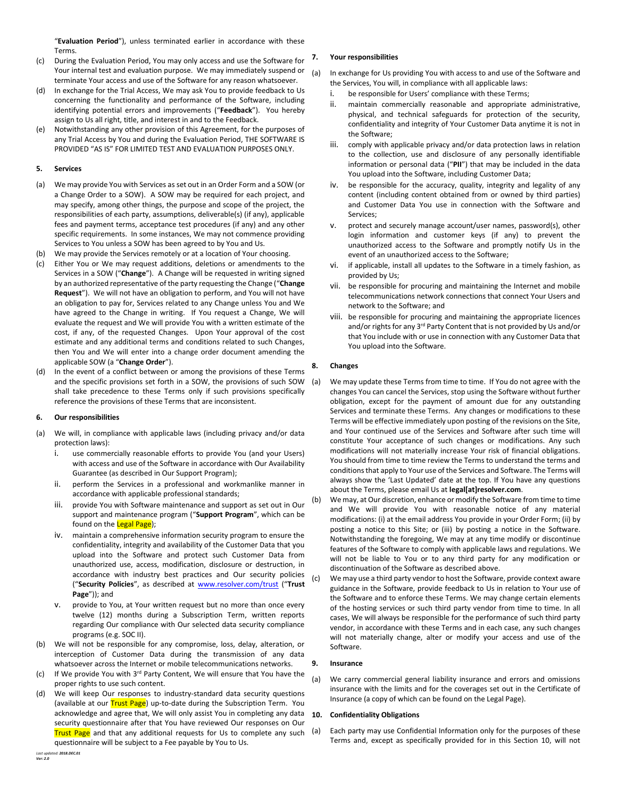"**Evaluation Period**"), unless terminated earlier in accordance with these Terms.

- (c) During the Evaluation Period, You may only access and use the Software for Your internal test and evaluation purpose. We may immediately suspend or terminate Your access and use of the Software for any reason whatsoever.
- (d) In exchange for the Trial Access, We may ask You to provide feedback to Us concerning the functionality and performance of the Software, including identifying potential errors and improvements ("**Feedback**"). You hereby assign to Us all right, title, and interest in and to the Feedback.
- (e) Notwithstanding any other provision of this Agreement, for the purposes of any Trial Access by You and during the Evaluation Period, THE SOFTWARE IS PROVIDED "AS IS" FOR LIMITED TEST AND EVALUATION PURPOSES ONLY.

## **5. Services**

- (a) We may provide You with Services as set out in an Order Form and a SOW (or a Change Order to a SOW). A SOW may be required for each project, and may specify, among other things, the purpose and scope of the project, the responsibilities of each party, assumptions, deliverable(s) (if any), applicable fees and payment terms, acceptance test procedures (if any) and any other specific requirements. In some instances, We may not commence providing Services to You unless a SOW has been agreed to by You and Us.
- (b) We may provide the Services remotely or at a location of Your choosing.
- (c) Either You or We may request additions, deletions or amendments to the Services in a SOW ("**Change**"). A Change will be requested in writing signed by an authorized representative of the party requesting the Change ("**Change Request**"). We will not have an obligation to perform, and You will not have an obligation to pay for, Services related to any Change unless You and We have agreed to the Change in writing. If You request a Change, We will evaluate the request and We will provide You with a written estimate of the cost, if any, of the requested Changes. Upon Your approval of the cost estimate and any additional terms and conditions related to such Changes, then You and We will enter into a change order document amending the applicable SOW (a "**Change Order**").
- (d) In the event of a conflict between or among the provisions of these Terms and the specific provisions set forth in a SOW, the provisions of such SOW shall take precedence to these Terms only if such provisions specifically reference the provisions of these Terms that are inconsistent.

#### **6. Our responsibilities**

- (a) We will, in compliance with applicable laws (including privacy and/or data protection laws):
	- i. use commercially reasonable efforts to provide You (and your Users) with access and use of the Software in accordance with Our Availability Guarantee (as described in Our Support Program);
	- ii. perform the Services in a professional and workmanlike manner in accordance with applicable professional standards;
	- iii. provide You with Software maintenance and support as set out in Our support and maintenance program ("**Support Program**", which can be found on the Legal Page);
	- iv. maintain a comprehensive information security program to ensure the confidentiality, integrity and availability of the Customer Data that you upload into the Software and protect such Customer Data from unauthorized use, access, modification, disclosure or destruction, in accordance with industry best practices and Our security policies ("**Security Policies**", as described at [www.resolver.com/trust](http://www.resolver.com/trust) ("**Trust Page**")); and
	- v. provide to You, at Your written request but no more than once every twelve (12) months during a Subscription Term, written reports regarding Our compliance with Our selected data security compliance programs (e.g. SOC II).
- (b) We will not be responsible for any compromise, loss, delay, alteration, or interception of Customer Data during the transmission of any data whatsoever across the Internet or mobile telecommunications networks.
- (c) If We provide You with 3<sup>rd</sup> Party Content, We will ensure that You have the proper rights to use such content.
- (d) We will keep Our responses to industry-standard data security questions (available at our Trust Page) up-to-date during the Subscription Term. You acknowledge and agree that, We will only assist You in completing any data security questionnaire after that You have reviewed Our responses on Our **Trust Page** and that any additional requests for Us to complete any such questionnaire will be subject to a Fee payable by You to Us.

# **7. Your responsibilities**

- (a) In exchange for Us providing You with access to and use of the Software and the Services, You will, in compliance with all applicable laws:
	- i. be responsible for Users' compliance with these Terms;
	- ii. maintain commercially reasonable and appropriate administrative, physical, and technical safeguards for protection of the security, confidentiality and integrity of Your Customer Data anytime it is not in the Software;
	- iii. comply with applicable privacy and/or data protection laws in relation to the collection, use and disclosure of any personally identifiable information or personal data ("**PII**") that may be included in the data You upload into the Software, including Customer Data;
	- iv. be responsible for the accuracy, quality, integrity and legality of any content (including content obtained from or owned by third parties) and Customer Data You use in connection with the Software and Services;
	- v. protect and securely manage account/user names, password(s), other login information and customer keys (if any) to prevent the unauthorized access to the Software and promptly notify Us in the event of an unauthorized access to the Software;
	- if applicable, install all updates to the Software in a timely fashion, as provided by Us;
	- vii. be responsible for procuring and maintaining the Internet and mobile telecommunications network connections that connect Your Users and network to the Software; and
	- viii. be responsible for procuring and maintaining the appropriate licences and/or rights for any 3<sup>rd</sup> Party Content that is not provided by Us and/or that You include with or use in connection with any Customer Data that You upload into the Software.

#### **8. Changes**

(a) We may update these Terms from time to time. If You do not agree with the changes You can cancel the Services, stop using the Software without further obligation, except for the payment of amount due for any outstanding Services and terminate these Terms. Any changes or modifications to these Terms will be effective immediately upon posting of the revisions on the Site, and Your continued use of the Services and Software after such time will constitute Your acceptance of such changes or modifications. Any such modifications will not materially increase Your risk of financial obligations. You should from time to time review the Terms to understand the terms and conditions that apply to Your use of the Services and Software. The Terms will always show the 'Last Updated' date at the top. If You have any questions about the Terms, please email Us at **legal[at]resolver.com**.

(b) Wemay, at Our discretion, enhance or modify the Software from time to time and We will provide You with reasonable notice of any material modifications: (i) at the email address You provide in your Order Form; (ii) by posting a notice to this Site; or (iii) by posting a notice in the Software. Notwithstanding the foregoing, We may at any time modify or discontinue features of the Software to comply with applicable laws and regulations. We will not be liable to You or to any third party for any modification or discontinuation of the Software as described above.

(c) We may use a third party vendor to host the Software, provide context aware guidance in the Software, provide feedback to Us in relation to Your use of the Software and to enforce these Terms. We may change certain elements of the hosting services or such third party vendor from time to time. In all cases, We will always be responsible for the performance of such third party vendor, in accordance with these Terms and in each case, any such changes will not materially change, alter or modify your access and use of the Software.

#### **9. Insurance**

(a) We carry commercial general liability insurance and errors and omissions insurance with the limits and for the coverages set out in the Certificate of Insurance (a copy of which can be found on the Legal Page).

#### <span id="page-1-0"></span>**10. Confidentiality Obligations**

(a) Each party may use Confidential Information only for the purposes of these Terms and, except as specifically provided for in this Section [10,](#page-1-0) will not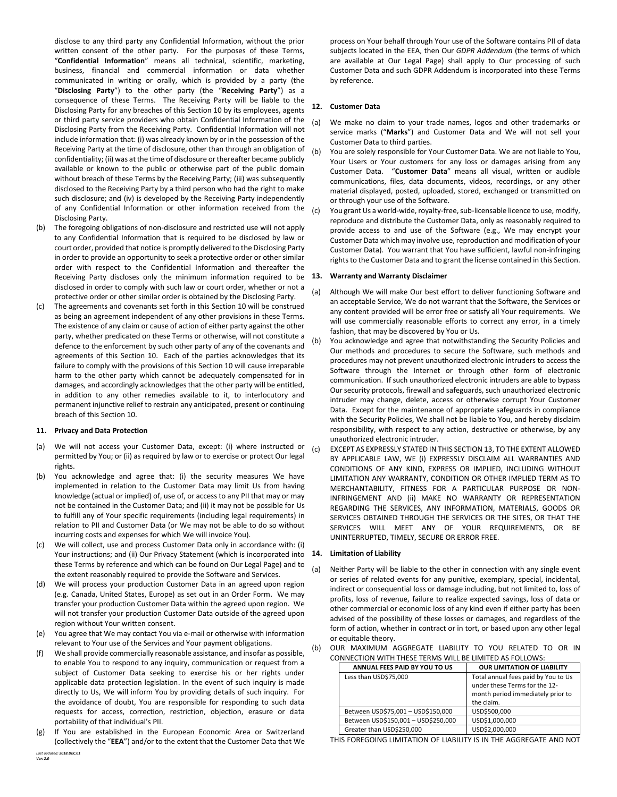disclose to any third party any Confidential Information, without the prior written consent of the other party. For the purposes of these Terms, "**Confidential Information**" means all technical, scientific, marketing, business, financial and commercial information or data whether communicated in writing or orally, which is provided by a party (the "**Disclosing Party**") to the other party (the "**Receiving Party**") as a consequence of these Terms. The Receiving Party will be liable to the Disclosing Party for any breaches of this Sectio[n 10](#page-1-0) by its employees, agents or third party service providers who obtain Confidential Information of the Disclosing Party from the Receiving Party. Confidential Information will not include information that: (i) was already known by or in the possession of the Receiving Party at the time of disclosure, other than through an obligation of confidentiality; (ii) was at the time of disclosure or thereafter became publicly available or known to the public or otherwise part of the public domain without breach of these Terms by the Receiving Party; (iii) was subsequently disclosed to the Receiving Party by a third person who had the right to make such disclosure; and (iv) is developed by the Receiving Party independently of any Confidential Information or other information received from the Disclosing Party.

- (b) The foregoing obligations of non-disclosure and restricted use will not apply to any Confidential Information that is required to be disclosed by law or court order, provided that notice is promptly delivered to the Disclosing Party in order to provide an opportunity to seek a protective order or other similar order with respect to the Confidential Information and thereafter the Receiving Party discloses only the minimum information required to be 13. disclosed in order to comply with such law or court order, whether or not a protective order or other similar order is obtained by the Disclosing Party.
- (c) The agreements and covenants set forth in this Sectio[n 10](#page-1-0) will be construed as being an agreement independent of any other provisions in these Terms. The existence of any claim or cause of action of either party against the other party, whether predicated on these Terms or otherwise, will not constitute a defence to the enforcement by such other party of any of the covenants and agreements of this Section [10.](#page-1-0) Each of the parties acknowledges that its failure to comply with the provisions of this Sectio[n 10](#page-1-0) will cause irreparable harm to the other party which cannot be adequately compensated for in damages, and accordingly acknowledges that the other party will be entitled, in addition to any other remedies available to it, to interlocutory and permanent injunctive relief to restrain any anticipated, present or continuing breach of this Sectio[n 10.](#page-1-0)

# **11. Privacy and Data Protection**

- (a) We will not access your Customer Data, except: (i) where instructed or permitted by You; or (ii) as required by law or to exercise or protect Our legal rights.
- (b) You acknowledge and agree that: (i) the security measures We have implemented in relation to the Customer Data may limit Us from having knowledge (actual or implied) of, use of, or access to any PII that may or may not be contained in the Customer Data; and (ii) it may not be possible for Us to fulfill any of Your specific requirements (including legal requirements) in relation to PII and Customer Data (or We may not be able to do so without incurring costs and expenses for which We will invoice You).
- (c) We will collect, use and process Customer Data only in accordance with: (i) Your instructions; and (ii) Our Privacy Statement (which is incorporated into **14. Limitation of Liability** these Terms by reference and which can be found on Our Legal Page) and to the extent reasonably required to provide the Software and Services.
- (d) We will process your production Customer Data in an agreed upon region (e.g. Canada, United States, Europe) as set out in an Order Form. We may transfer your production Customer Data within the agreed upon region. We will not transfer your production Customer Data outside of the agreed upon region without Your written consent.
- (e) You agree that We may contact You via e-mail or otherwise with information relevant to Your use of the Services and Your payment obligations.
- (f) We shall provide commercially reasonable assistance, and insofar as possible, to enable You to respond to any inquiry, communication or request from a subject of Customer Data seeking to exercise his or her rights under applicable data protection legislation. In the event of such inquiry is made directly to Us, We will inform You by providing details of such inquiry. For the avoidance of doubt, You are responsible for responding to such data requests for access, correction, restriction, objection, erasure or data portability of that individual's PII.
- *Last updated: 2018.DEC.01* (g) If You are established in the European Economic Area or Switzerland (collectively the "**EEA**") and/or to the extent that the Customer Data that We

process on Your behalf through Your use of the Software contains PII of data subjects located in the EEA, then Our *GDPR Addendum* (the terms of which are available at Our Legal Page) shall apply to Our processing of such Customer Data and such GDPR Addendum is incorporated into these Terms by reference.

#### **12. Customer Data**

- (a) We make no claim to your trade names, logos and other trademarks or service marks ("**Marks**") and Customer Data and We will not sell your Customer Data to third parties.
- (b) You are solely responsible for Your Customer Data. We are not liable to You, Your Users or Your customers for any loss or damages arising from any Customer Data. "**Customer Data**" means all visual, written or audible communications, files, data documents, videos, recordings, or any other material displayed, posted, uploaded, stored, exchanged or transmitted on or through your use of the Software.
- (c) You grant Us a world-wide, royalty-free, sub-licensable licence to use, modify, reproduce and distribute the Customer Data, only as reasonably required to provide access to and use of the Software (e.g., We may encrypt your Customer Data which may involve use, reproduction and modification of your Customer Data). You warrant that You have sufficient, lawful non-infringing rights to the Customer Data and to grant the license contained in this Section.

## <span id="page-2-0"></span>**13. Warranty and Warranty Disclaimer**

- (a) Although We will make Our best effort to deliver functioning Software and an acceptable Service, We do not warrant that the Software, the Services or any content provided will be error free or satisfy all Your requirements. We will use commercially reasonable efforts to correct any error, in a timely fashion, that may be discovered by You or Us.
- (b) You acknowledge and agree that notwithstanding the Security Policies and Our methods and procedures to secure the Software, such methods and procedures may not prevent unauthorized electronic intruders to access the Software through the Internet or through other form of electronic communication. If such unauthorized electronic intruders are able to bypass Our security protocols, firewall and safeguards, such unauthorized electronic intruder may change, delete, access or otherwise corrupt Your Customer Data. Except for the maintenance of appropriate safeguards in compliance with the Security Policies, We shall not be liable to You, and hereby disclaim responsibility, with respect to any action, destructive or otherwise, by any unauthorized electronic intruder.
- EXCEPT AS EXPRESSLY STATED IN THIS SECTIO[N 13,](#page-2-0) TO THE EXTENT ALLOWED BY APPLICABLE LAW, WE (i) EXPRESSLY DISCLAIM ALL WARRANTIES AND CONDITIONS OF ANY KIND, EXPRESS OR IMPLIED, INCLUDING WITHOUT LIMITATION ANY WARRANTY, CONDITION OR OTHER IMPLIED TERM AS TO MERCHANTABILITY, FITNESS FOR A PARTICULAR PURPOSE OR NON-INFRINGEMENT AND (ii) MAKE NO WARRANTY OR REPRESENTATION REGARDING THE SERVICES, ANY INFORMATION, MATERIALS, GOODS OR SERVICES OBTAINED THROUGH THE SERVICES OR THE SITES, OR THAT THE SERVICES WILL MEET ANY OF YOUR REQUIREMENTS, OR BE UNINTERRUPTED, TIMELY, SECURE OR ERROR FREE.

<span id="page-2-1"></span>(a) Neither Party will be liable to the other in connection with any single event or series of related events for any punitive, exemplary, special, incidental, indirect or consequential loss or damage including, but not limited to, loss of profits, loss of revenue, failure to realize expected savings, loss of data or other commercial or economic loss of any kind even if either party has been advised of the possibility of these losses or damages, and regardless of the form of action, whether in contract or in tort, or based upon any other legal or equitable theory.

| CONNECTION WITH THESE TERMS WILL BE LIMITED AS FOLLOWS: |                                     |                                                                                                                         |
|---------------------------------------------------------|-------------------------------------|-------------------------------------------------------------------------------------------------------------------------|
|                                                         | ANNUAL FEES PAID BY YOU TO US       | <b>OUR LIMITATION OF LIABILITY</b>                                                                                      |
|                                                         | Less than USD\$75,000               | Total annual fees paid by You to Us<br>under these Terms for the 12-<br>month period immediately prior to<br>the claim. |
|                                                         | Between USD\$75,001 - USD\$150,000  | USD\$500,000                                                                                                            |
|                                                         | Between USD\$150,001 - USD\$250,000 | USD\$1,000,000                                                                                                          |
|                                                         | Greater than USD\$250,000           | USD\$2,000,000                                                                                                          |

<span id="page-2-2"></span>(b) OUR MAXIMUM AGGREGATE LIABILITY TO YOU RELATED TO OR IN

THIS FOREGOING LIMITATION OF LIABILITY IS IN THE AGGREGATE AND NOT